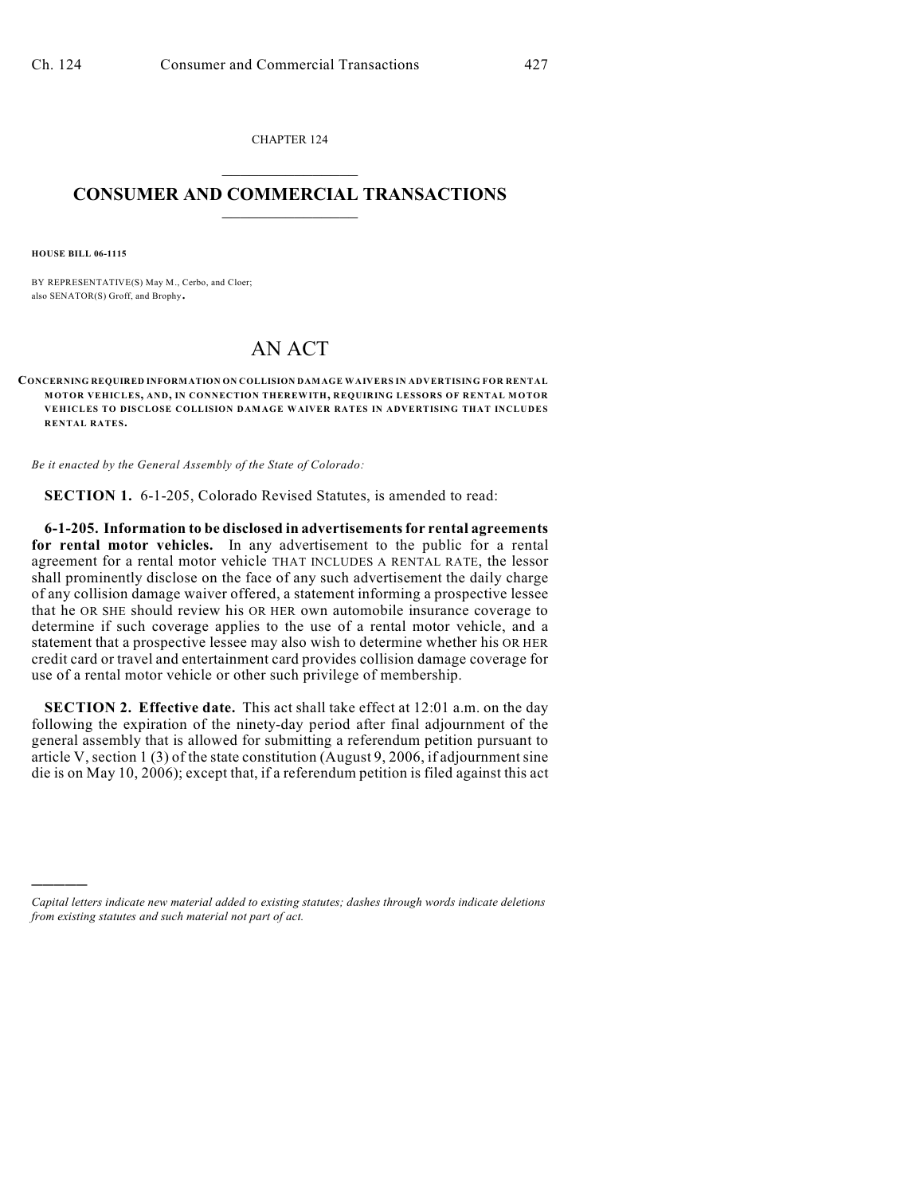CHAPTER 124  $\mathcal{L}_\text{max}$  . The set of the set of the set of the set of the set of the set of the set of the set of the set of the set of the set of the set of the set of the set of the set of the set of the set of the set of the set

## **CONSUMER AND COMMERCIAL TRANSACTIONS**  $\frac{1}{2}$  ,  $\frac{1}{2}$  ,  $\frac{1}{2}$  ,  $\frac{1}{2}$  ,  $\frac{1}{2}$  ,  $\frac{1}{2}$

**HOUSE BILL 06-1115**

)))))

BY REPRESENTATIVE(S) May M., Cerbo, and Cloer; also SENATOR(S) Groff, and Brophy.

## AN ACT

**CONCERNING REQUIRED INFORMATION ON COLLISION DAMAGE WAIVERS IN ADVERTISING FOR RENTAL MOTOR VEHICLES, AND, IN CONNECTION THEREWITH, REQUIRING LESSORS OF RENTAL MOTOR VEHICLES TO DISCLOSE COLLISION DAMAGE WAIVER RATES IN ADVERTISING THAT INCLUDES RENTAL RATES.**

*Be it enacted by the General Assembly of the State of Colorado:*

**SECTION 1.** 6-1-205, Colorado Revised Statutes, is amended to read:

**6-1-205. Information to be disclosed in advertisements for rental agreements for rental motor vehicles.** In any advertisement to the public for a rental agreement for a rental motor vehicle THAT INCLUDES A RENTAL RATE, the lessor shall prominently disclose on the face of any such advertisement the daily charge of any collision damage waiver offered, a statement informing a prospective lessee that he OR SHE should review his OR HER own automobile insurance coverage to determine if such coverage applies to the use of a rental motor vehicle, and a statement that a prospective lessee may also wish to determine whether his OR HER credit card or travel and entertainment card provides collision damage coverage for use of a rental motor vehicle or other such privilege of membership.

**SECTION 2. Effective date.** This act shall take effect at 12:01 a.m. on the day following the expiration of the ninety-day period after final adjournment of the general assembly that is allowed for submitting a referendum petition pursuant to article V, section 1 (3) of the state constitution (August 9, 2006, if adjournment sine die is on May 10, 2006); except that, if a referendum petition is filed against this act

*Capital letters indicate new material added to existing statutes; dashes through words indicate deletions from existing statutes and such material not part of act.*